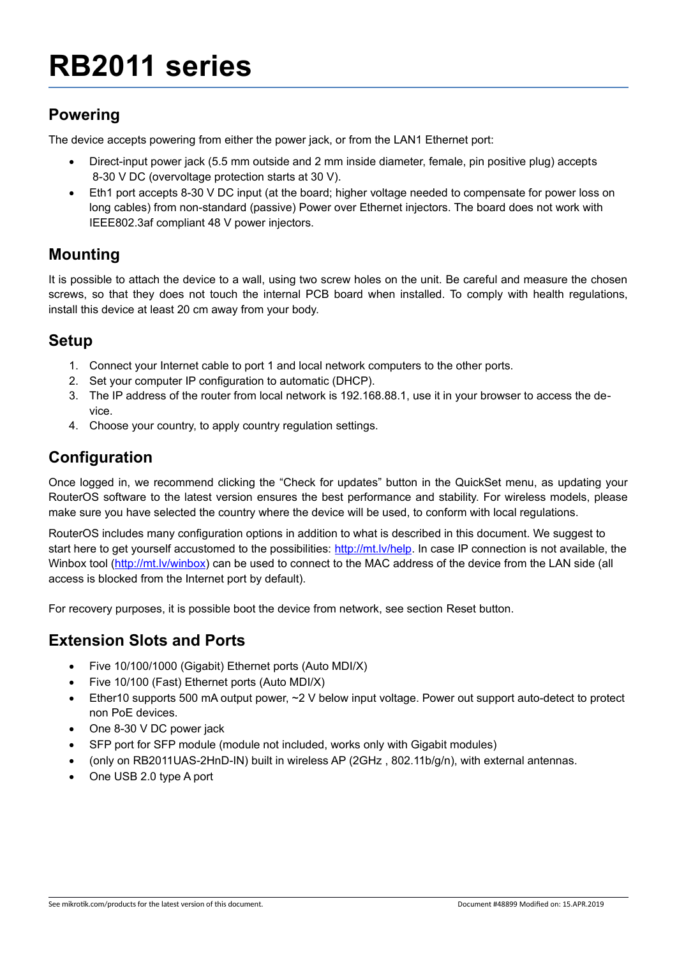# **RB2011 series**

## **Powering**

The device accepts powering from either the power jack, or from the LAN1 Ethernet port:

- Direct-input power jack (5.5 mm outside and 2 mm inside diameter, female, pin positive plug) accepts 8-30 V DC (overvoltage protection starts at 30 V).
- Eth1 port accepts 8-30 V DC input (at the board; higher voltage needed to compensate for power loss on long cables) from non-standard (passive) Power over Ethernet injectors. The board does not work with IEEE802.3af compliant 48 V power injectors.

### **Mounting**

It is possible to attach the device to a wall, using two screw holes on the unit. Be careful and measure the chosen screws, so that they does not touch the internal PCB board when installed. To comply with health regulations, install this device at least 20 cm away from your body.

### **Setup**

- 1. Connect your Internet cable to port 1 and local network computers to the other ports.
- 2. Set your computer IP configuration to automatic (DHCP).
- 3. The IP address of the router from local network is 192.168.88.1, use it in your browser to access the device.
- 4. Choose your country, to apply country regulation settings.

## **Configuration**

Once logged in, we recommend clicking the "Check for updates" button in the QuickSet menu, as updating your RouterOS software to the latest version ensures the best performance and stability. For wireless models, please make sure you have selected the country where the device will be used, to conform with local regulations.

RouterOS includes many configuration options in addition to what is described in this document. We suggest to start here to get yourself accustomed to the possibilities:<http://mt.lv/help>. In case IP connection is not available, the Winbox tool (<http://mt.lv/winbox>) can be used to connect to the MAC address of the device from the LAN side (all access is blocked from the Internet port by default).

For recovery purposes, it is possible boot the device from network, see section [Reset button](#page-1-0).

#### **Extension Slots and Ports**

- Five 10/100/1000 (Gigabit) Ethernet ports (Auto MDI/X)
- Five 10/100 (Fast) Ethernet ports (Auto MDI/X)
- Ether10 supports 500 mA output power, ~2 V below input voltage. Power out support auto-detect to protect non PoE devices.
- One 8-30 V DC power jack
- SFP port for SFP module (module not included, works only with Gigabit modules)
- (only on RB2011UAS-2HnD-IN) built in wireless AP (2GHz , 802.11b/g/n), with external antennas.
- One USB 2.0 type A port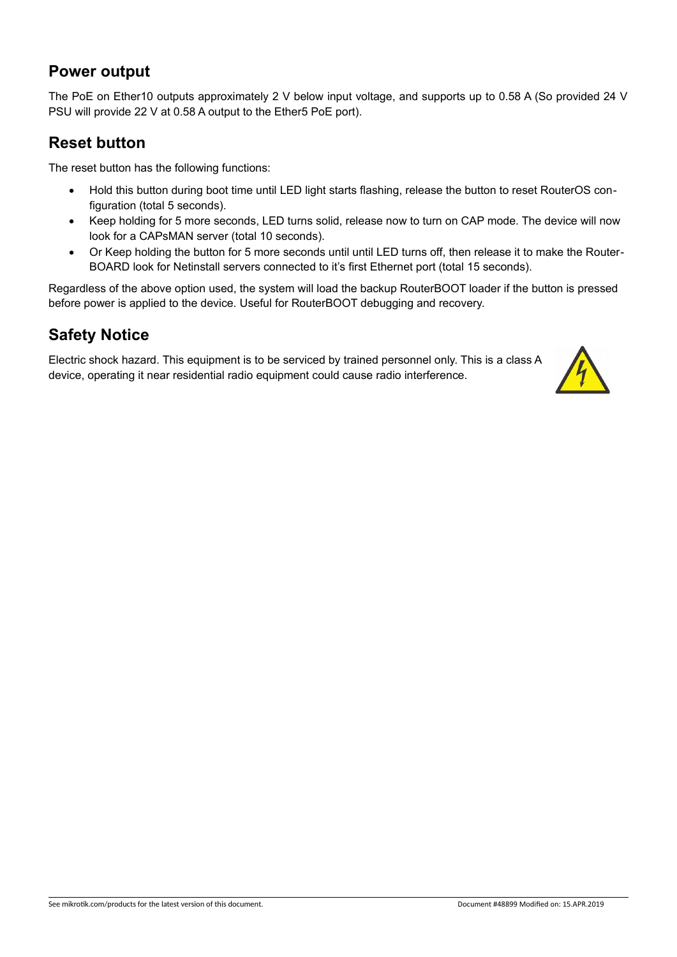#### **Power output**

The PoE on Ether10 outputs approximately 2 V below input voltage, and supports up to 0.58 A (So provided 24 V PSU will provide 22 V at 0.58 A output to the Ether5 PoE port).

#### <span id="page-1-0"></span>**Reset button**

The reset button has the following functions:

- Hold this button during boot time until LED light starts flashing, release the button to reset RouterOS configuration (total 5 seconds).
- Keep holding for 5 more seconds, LED turns solid, release now to turn on CAP mode. The device will now look for a CAPsMAN server (total 10 seconds).
- Or Keep holding the button for 5 more seconds until until LED turns off, then release it to make the Router-BOARD look for Netinstall servers connected to it's first Ethernet port (total 15 seconds).

Regardless of the above option used, the system will load the backup RouterBOOT loader if the button is pressed before power is applied to the device. Useful for RouterBOOT debugging and recovery.

### **Safety Notice**

Electric shock hazard. This equipment is to be serviced by trained personnel only. This is a class A device, operating it near residential radio equipment could cause radio interference.

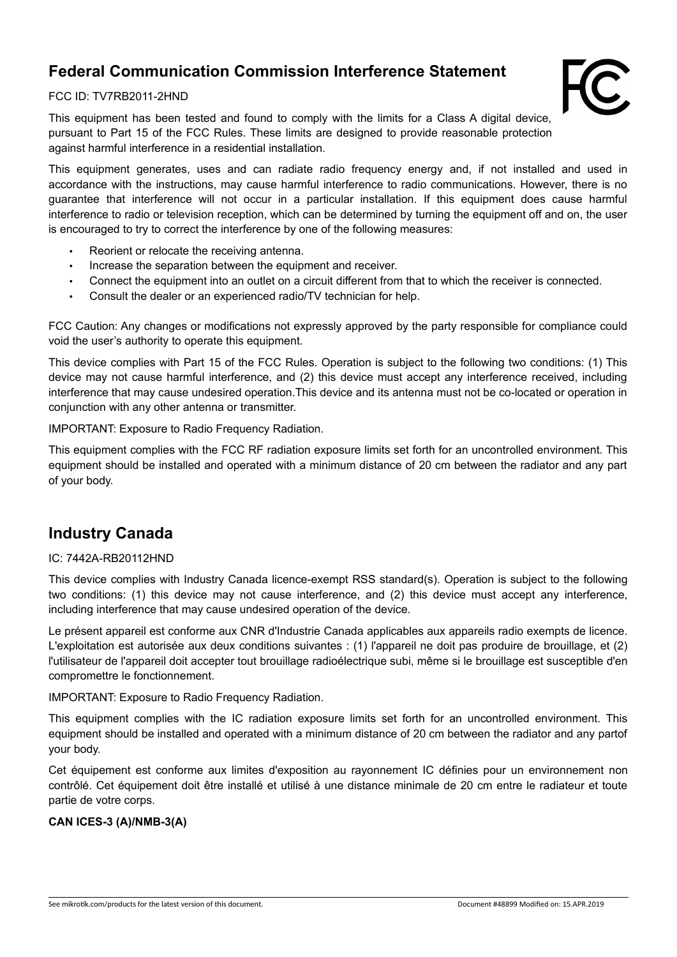## **Federal Communication Commission Interference Statement**



#### FCC ID: TV7RB2011-2HND

This equipment has been tested and found to comply with the limits for a Class A digital device, pursuant to Part 15 of the FCC Rules. These limits are designed to provide reasonable protection against harmful interference in a residential installation.

This equipment generates, uses and can radiate radio frequency energy and, if not installed and used in accordance with the instructions, may cause harmful interference to radio communications. However, there is no guarantee that interference will not occur in a particular installation. If this equipment does cause harmful interference to radio or television reception, which can be determined by turning the equipment off and on, the user is encouraged to try to correct the interference by one of the following measures:

- Reorient or relocate the receiving antenna.
- Increase the separation between the equipment and receiver.
- Connect the equipment into an outlet on a circuit different from that to which the receiver is connected.
- Consult the dealer or an experienced radio/TV technician for help.

FCC Caution: Any changes or modifications not expressly approved by the party responsible for compliance could void the user's authority to operate this equipment.

This device complies with Part 15 of the FCC Rules. Operation is subject to the following two conditions: (1) This device may not cause harmful interference, and (2) this device must accept any interference received, including interference that may cause undesired operation.This device and its antenna must not be co-located or operation in conjunction with any other antenna or transmitter.

IMPORTANT: Exposure to Radio Frequency Radiation.

This equipment complies with the FCC RF radiation exposure limits set forth for an uncontrolled environment. This equipment should be installed and operated with a minimum distance of 20 cm between the radiator and any part of your body.

## **Industry Canada**

#### IC: 7442A-RB20112HND

This device complies with Industry Canada licence-exempt RSS standard(s). Operation is subject to the following two conditions: (1) this device may not cause interference, and (2) this device must accept any interference, including interference that may cause undesired operation of the device.

Le présent appareil est conforme aux CNR d'Industrie Canada applicables aux appareils radio exempts de licence. L'exploitation est autorisée aux deux conditions suivantes : (1) l'appareil ne doit pas produire de brouillage, et (2) l'utilisateur de l'appareil doit accepter tout brouillage radioélectrique subi, même si le brouillage est susceptible d'en compromettre le fonctionnement.

IMPORTANT: Exposure to Radio Frequency Radiation.

This equipment complies with the IC radiation exposure limits set forth for an uncontrolled environment. This equipment should be installed and operated with a minimum distance of 20 cm between the radiator and any partof your body.

Cet équipement est conforme aux limites d'exposition au rayonnement IC définies pour un environnement non contrôlé. Cet équipement doit être installé et utilisé à une distance minimale de 20 cm entre le radiateur et toute partie de votre corps.

#### **CAN ICES-3 (A)/NMB-3(A)**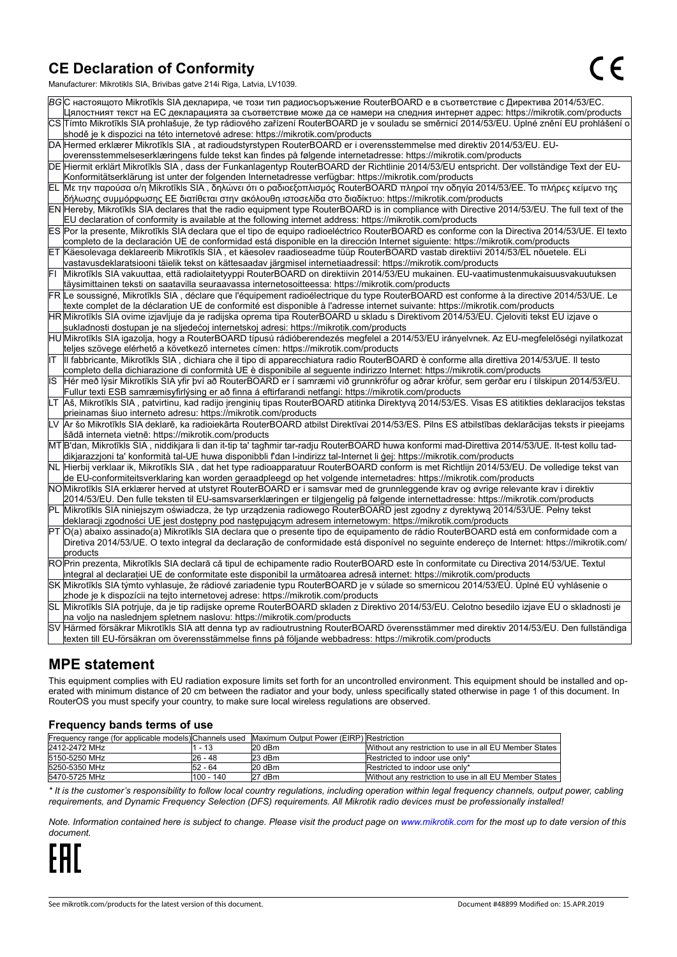#### **CE Declaration of Conformity**

Manufacturer: Mikrotikls SIA, Brivibas gatve 214i Riga, Latvia, LV1039.

|    | ВG С настоящото Mikrotīkls SIA декларира, че този тип радиосъоръжение RouterBOARD е в съответствие с Директива 2014/53/EC.                                                                                                                                                           |
|----|--------------------------------------------------------------------------------------------------------------------------------------------------------------------------------------------------------------------------------------------------------------------------------------|
|    | Цялостният текст на ЕС декларацията за съответствие може да се намери на следния интернет адрес: https://mikrotik.com/products                                                                                                                                                       |
|    | CS Tímto Mikrotīkls SIA prohlašuje, že typ rádiového zařízení RouterBOARD je v souladu se směrnicí 2014/53/EU. Úplné znění EU prohlášení o<br>shodě je k dispozici na této internetové adrese: https://mikrotik.com/products                                                         |
|    | DA Hermed erklærer Mikrotīkls SIA, at radioudstyrstypen RouterBOARD er i overensstemmelse med direktiv 2014/53/EU. EU-                                                                                                                                                               |
|    | overensstemmelseserklæringens fulde tekst kan findes på følgende internetadresse: https://mikrotik.com/products                                                                                                                                                                      |
|    | DE Hiermit erklärt Mikrotīkls SIA, dass der Funkanlagentyp RouterBOARD der Richtlinie 2014/53/EU entspricht. Der vollständige Text der EU-                                                                                                                                           |
|    | Konformitätserklärung ist unter der folgenden Internetadresse verfügbar: https://mikrotik.com/products                                                                                                                                                                               |
|    | ΕL  Με την παρούσα ο/η Mikrotīkls SIA , δηλώνει ότι ο ραδιοεξοπλισμός RouterBOARD πληροί την οδηγία 2014/53/ΕΕ. Το πλήρες κείμενο της<br>δήλωσης συμμόρφωσης ΕΕ διατίθεται στην ακόλουθη ιστοσελίδα στο διαδίκτυο: https://mikrotik.com/products                                     |
|    | EN Hereby, Mikrotīkls SIA declares that the radio equipment type RouterBOARD is in compliance with Directive 2014/53/EU. The full text of the                                                                                                                                        |
|    | EU declaration of conformity is available at the following internet address: https://mikrotik.com/products                                                                                                                                                                           |
|    | IES Por la presente, Mikrotīkls SIA declara que el tipo de equipo radioeléctrico RouterBOARD es conforme con la Directiva 2014/53/UE. El texto<br>completo de la declaración UE de conformidad está disponible en la dirección Internet siguiente: https://mikrotik.com/products     |
|    | ∣ET ∣Käesolevaga deklareerib Mikrotīkls SIA , et käesolev raadioseadme tüüp RouterBOARD vastab direktiivi 2014/53/EL nõuetele. ELi                                                                                                                                                   |
|    | vastavusdeklaratsiooni täielik tekst on kättesaadav järgmisel internetiaadressil: https://mikrotik.com/products                                                                                                                                                                      |
|    | Mikrotīkls SIA vakuuttaa, että radiolaitetyyppi RouterBOARD on direktiivin 2014/53/EU mukainen. EU-vaatimustenmukaisuusvakuutuksen                                                                                                                                                   |
|    | täysimittainen teksti on saatavilla seuraavassa internetosoitteessa: https://mikrotik.com/products                                                                                                                                                                                   |
|    | FR Le soussigné, Mikrotīkls SIA, déclare que l'équipement radioélectrique du type RouterBOARD est conforme à la directive 2014/53/UE. Le                                                                                                                                             |
|    | texte complet de la déclaration UE de conformité est disponible à l'adresse internet suivante: https://mikrotik.com/products                                                                                                                                                         |
|    | HR Mikrotīkls SIA ovime izjavljuje da je radijska oprema tipa RouterBOARD u skladu s Direktivom 2014/53/EU. Cjeloviti tekst EU izjave o                                                                                                                                              |
|    | sukladnosti dostupan je na sljedećoj internetskoj adresi: https://mikrotik.com/products                                                                                                                                                                                              |
|    | ∣HU∣Mikrotīkls SIA igazolja, hogy a RouterBOARD típusú rádióberendezés megfelel a 2014/53/EU irányelvnek. Az EU-megfelelőségi nyilatkozat                                                                                                                                            |
|    | teljes szövege elérhető a következő internetes címen: https://mikrotik.com/products                                                                                                                                                                                                  |
| IΤ | Ill fabbricante, Mikrotīkls SIA, dichiara che il tipo di apparecchiatura radio RouterBOARD è conforme alla direttiva 2014/53/UE. Il testo                                                                                                                                            |
|    | completo della dichiarazione di conformità UE è disponibile al seguente indirizzo Internet: https://mikrotik.com/products                                                                                                                                                            |
| IS | Hér með lýsir Mikrotīkls SIA yfir því að RouterBOARD er í samræmi við grunnkröfur og aðrar kröfur, sem gerðar eru í tilskipun 2014/53/EU.<br>Fullur texti ESB samræmisyfirlýsing er að finna á eftirfarandi netfangi: https://mikrotik.com/products                                  |
|    | Aš, Mikrotīkls SIA, patvirtinu, kad radijo įrenginių tipas RouterBOARD atitinka Direktyvą 2014/53/ES. Visas ES atitikties deklaracijos tekstas                                                                                                                                       |
|    | prieinamas šiuo interneto adresu: https://mikrotik.com/products                                                                                                                                                                                                                      |
|    | LV  Ar šo Mikrotīkls SIA deklarē, ka radioiekārta RouterBOARD atbilst Direktīvai 2014/53/ES. Pilns ES atbilstības deklarācijas teksts ir pieejams                                                                                                                                    |
|    | šādā interneta vietnē: https://mikrotik.com/products                                                                                                                                                                                                                                 |
|    | MT B'dan, Mikrotīkls SIA, niddikjara li dan it-tip ta' tagħmir tar-radju RouterBOARD huwa konformi mad-Direttiva 2014/53/UE. It-test kollu tad-                                                                                                                                      |
|    | dikjarazzjoni ta' konformità tal-UE huwa disponibbli f'dan l-indirizz tal-Internet li ġej: https://mikrotik.com/products                                                                                                                                                             |
|    | NL  Hierbij verklaar ik, Mikrotīkls SIA , dat het type radioapparatuur RouterBOARD conform is met Richtlijn 2014/53/EU. De volledige tekst van                                                                                                                                       |
|    | de EU-conformiteitsverklaring kan worden geraadpleegd op het volgende internetadres: https://mikrotik.com/products                                                                                                                                                                   |
|    | NO Mikrotīkls SIA erklærer herved at utstyret RouterBOARD er i samsvar med de grunnleggende krav og øvrige relevante krav i direktiv<br>2014/53/EU. Den fulle teksten til EU-samsvarserklæringen er tilgjengelig på følgende internettadresse: https://mikrotik.com/products         |
|    | PL Mikrotīkls SIA niniejszym oświadcza, że typ urządzenia radiowego RouterBOARD jest zgodny z dyrektywą 2014/53/UE. Pełny tekst                                                                                                                                                      |
|    | deklaracji zgodności UE jest dostępny pod następującym adresem internetowym: https://mikrotik.com/products                                                                                                                                                                           |
|    | PT  O(a) abaixo assinado(a) Mikrotīkls SIA declara que o presente tipo de equipamento de rádio RouterBOARD está em conformidade com a<br>Diretiva 2014/53/UE. O texto integral da declaração de conformidade está disponível no seguinte endereço de Internet: https://mikrotik.com/ |
|    | products                                                                                                                                                                                                                                                                             |
|    | RO Prin prezenta, Mikrotīkls SIA declară că tipul de echipamente radio RouterBOARD este în conformitate cu Directiva 2014/53/UE. Textul                                                                                                                                              |
|    | integral al declarației UE de conformitate este disponibil la următoarea adresă internet: https://mikrotik.com/products                                                                                                                                                              |
|    | SK ∣Mikrotīkls SIA týmto vyhlasuje, že rádiové zariadenie typu RouterBOARD je v súlade so smernicou 2014/53/EÚ. Úplné EÚ vyhlásenie o                                                                                                                                                |
|    | zhode je k dispozícii na tejto internetovej adrese: https://mikrotik.com/products                                                                                                                                                                                                    |
|    | SL Mikrotīkls SIA potrjuje, da je tip radijske opreme RouterBOARD skladen z Direktivo 2014/53/EU. Celotno besedilo izjave EU o skladnosti je                                                                                                                                         |
|    | na voljo na naslednjem spletnem naslovu: https://mikrotik.com/products                                                                                                                                                                                                               |
|    | SV Härmed försäkrar Mikrotīkls SIA att denna typ av radioutrustning RouterBOARD överensstämmer med direktiv 2014/53/EU. Den fullständiga                                                                                                                                             |
|    | texten till EU-försäkran om överensstämmelse finns på följande webbadress: https://mikrotik.com/products                                                                                                                                                                             |

#### **MPE statement**

This equipment complies with EU radiation exposure limits set forth for an uncontrolled environment. This equipment should be installed and operated with minimum distance of 20 cm between the radiator and your body, unless specifically stated otherwise in page 1 of this document. In RouterOS you must specify your country, to make sure local wireless regulations are observed.

#### **Frequency bands terms of use**

| Frequency range (for applicable models) Channels used Maximum Output Power (EIRP) Restriction |           |          |                                                        |
|-----------------------------------------------------------------------------------------------|-----------|----------|--------------------------------------------------------|
| 2412-2472 MHz                                                                                 | 1 - 13    | 20 dBm   | Without any restriction to use in all EU Member States |
| 5150-5250 MHz                                                                                 | 26 - 48   | $23$ dBm | Restricted to indoor use only*                         |
| 5250-5350 MHz                                                                                 | 52 - 64   | 20 dBm   | Restricted to indoor use only*                         |
| 5470-5725 MHz                                                                                 | 100 - 140 | 27 dBm   | Without any restriction to use in all EU Member States |

*\* It is the customer's responsibility to follow local country regulations, including operation within legal frequency channels, output power, cabling requirements, and Dynamic Frequency Selection (DFS) requirements. All Mikrotik radio devices must be professionally installed!*

*Note. Information contained here is subject to change. Please visit the product page on [www.mikrotik.com](http://www.mikrotik.com/) for the most up to date version of this document.*